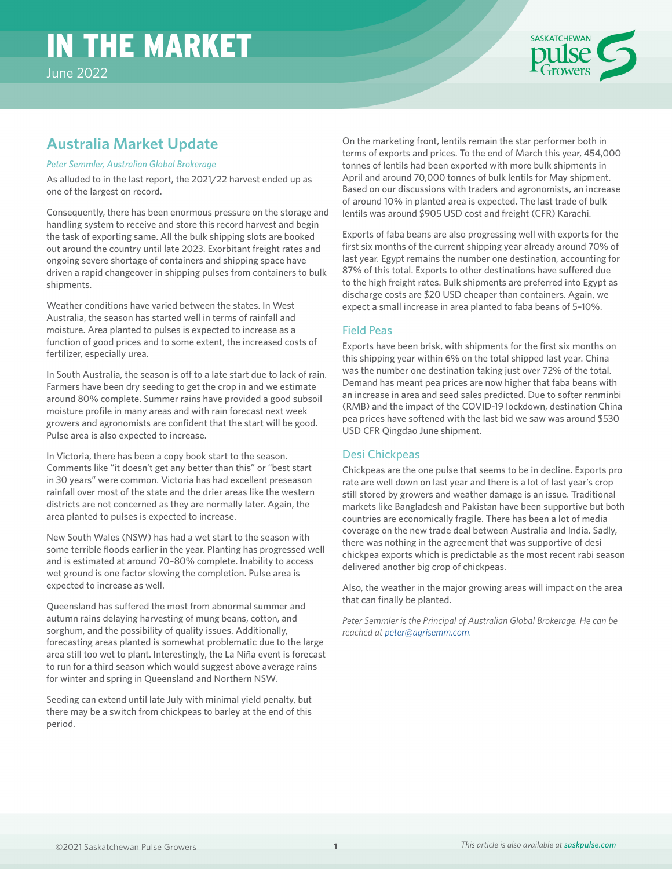# IN THE MARKET



## **Australia Market Update**

#### *Peter Semmler, Australian Global Brokerage*

As alluded to in the last report, the 2021/22 harvest ended up as one of the largest on record.

Consequently, there has been enormous pressure on the storage and handling system to receive and store this record harvest and begin the task of exporting same. All the bulk shipping slots are booked out around the country until late 2023. Exorbitant freight rates and ongoing severe shortage of containers and shipping space have driven a rapid changeover in shipping pulses from containers to bulk shipments.

Weather conditions have varied between the states. In West Australia, the season has started well in terms of rainfall and moisture. Area planted to pulses is expected to increase as a function of good prices and to some extent, the increased costs of fertilizer, especially urea.

In South Australia, the season is off to a late start due to lack of rain. Farmers have been dry seeding to get the crop in and we estimate around 80% complete. Summer rains have provided a good subsoil moisture profile in many areas and with rain forecast next week growers and agronomists are confident that the start will be good. Pulse area is also expected to increase.

In Victoria, there has been a copy book start to the season. Comments like "it doesn't get any better than this" or "best start in 30 years" were common. Victoria has had excellent preseason rainfall over most of the state and the drier areas like the western districts are not concerned as they are normally later. Again, the area planted to pulses is expected to increase.

New South Wales (NSW) has had a wet start to the season with some terrible floods earlier in the year. Planting has progressed well and is estimated at around 70–80% complete. Inability to access wet ground is one factor slowing the completion. Pulse area is expected to increase as well.

Queensland has suffered the most from abnormal summer and autumn rains delaying harvesting of mung beans, cotton, and sorghum, and the possibility of quality issues. Additionally, forecasting areas planted is somewhat problematic due to the large area still too wet to plant. Interestingly, the La Niña event is forecast to run for a third season which would suggest above average rains for winter and spring in Queensland and Northern NSW.

Seeding can extend until late July with minimal yield penalty, but there may be a switch from chickpeas to barley at the end of this period.

On the marketing front, lentils remain the star performer both in terms of exports and prices. To the end of March this year, 454,000 tonnes of lentils had been exported with more bulk shipments in April and around 70,000 tonnes of bulk lentils for May shipment. Based on our discussions with traders and agronomists, an increase of around 10% in planted area is expected. The last trade of bulk lentils was around \$905 USD cost and freight (CFR) Karachi.

Exports of faba beans are also progressing well with exports for the first six months of the current shipping year already around 70% of last year. Egypt remains the number one destination, accounting for 87% of this total. Exports to other destinations have suffered due to the high freight rates. Bulk shipments are preferred into Egypt as discharge costs are \$20 USD cheaper than containers. Again, we expect a small increase in area planted to faba beans of 5–10%.

#### Field Peas

Exports have been brisk, with shipments for the first six months on this shipping year within 6% on the total shipped last year. China was the number one destination taking just over 72% of the total. Demand has meant pea prices are now higher that faba beans with an increase in area and seed sales predicted. Due to softer renminbi (RMB) and the impact of the COVID-19 lockdown, destination China pea prices have softened with the last bid we saw was around \$530 USD CFR Qingdao June shipment.

#### Desi Chickpeas

Chickpeas are the one pulse that seems to be in decline. Exports pro rate are well down on last year and there is a lot of last year's crop still stored by growers and weather damage is an issue. Traditional markets like Bangladesh and Pakistan have been supportive but both countries are economically fragile. There has been a lot of media coverage on the new trade deal between Australia and India. Sadly, there was nothing in the agreement that was supportive of desi chickpea exports which is predictable as the most recent rabi season delivered another big crop of chickpeas.

Also, the weather in the major growing areas will impact on the area that can finally be planted.

*Peter Semmler is the Principal of Australian Global Brokerage. He can be reached at [peter@agrisemm.com.](mailto:peter%40agrisemm.com?subject=)*